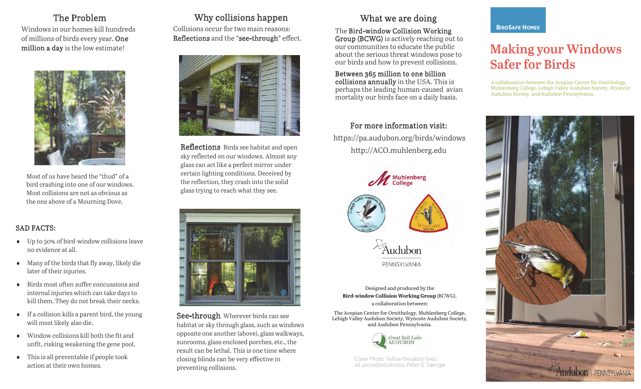### The Problem The Problem

Windows in our homes kill hundreds Windows in our homes kill hundreds of millions of birds every year. One million a day is the low estimate! million a day is the low estimate!



Most of us have heard the "thud" of a Most of us have heard the "thud" of a bird crashing into one of our windows. bird crashing into one of our windows. Most collisions are not as obvious as Most collisions are not as obvious as the one above of a Mourning Dove.

#### SAD FACTS: SAD FACTS:

- Up to 50% of bird-window collisions leave Up to 50% of bird-window collisions leave no evidence at all. no evidence at all.
- Many of the birds that fly away, likely die Many of the birds that fly away, likely die later of their injuries. later of their injuries.
- Birds most often suffer concussions and Birds most often suffer concussions and internal injuries which can take days to internal injuries which can take days to kill them. They do not break their necks. kill them. They do not break their necks.
- If a collision kills a parent bird, the young If a collision kills a parent bird, the young will most likely also die. will most likely also die.
- Window collisions kill both the fit and Window collisions kill both the fit and unfit, risking weakening the gene pool. unfit, risking weakening the gene pool.
- This is all preventable if people took This is all preventable if people took action at their own homes. action at their own homes.

## Why collisions happen Why collisions happen

Collisions occur for two main reasons: Collisions occur for two main reasons: Reflections and the "see-through" effect. Reflections and the "see-through" effect.



Reflections Birds see habitat and open Reflections Birds see habitat and open sky reflected on our windows. Almost any sky reflected on our windows. Almost any glass can act like a perfect mirror under glass can act like a perfect mirror under certain lighting conditions. Deceived by certain lighting conditions. Deceived by the reflection, they crash into the solid the reflection, they crash into the solid glass trying to reach what they see. glass trying to reach what they see.



See-through Wherever birds can see See-through Wherever birds can see habitat or sky through glass, such as windows habitat or sky through glass, such as windows opposite one another (above), glass walkways, opposite one another (above), glass walkways, sunrooms, glass enclosed porches, etc., the sunrooms, glass enclosed porches, etc., the result can be lethal. This is one time where result can be lethal. This is one time where closing blinds can be very effective in closing blinds can be very effective in preventing collisions. preventing collisions.

# What we are doing What we are doing

The Bird-window Collision Working Group (BCWG) is actively reaching out to Group (BCWG) is actively reaching out to our communities to educate the public our communities to educate the public about the serious threat windows pose to about the serious threat windows pose to our birds and how to prevent collisions. our birds and how to prevent collisions. The Bird-window Collision Working

Between 365 million to one billion

Between 365 million to one billion collisions annually in the USA. This is **collisions annually** in the USA. This is<br>perhaps the leading human-caused avian perhaps the leading human-caused aviant mortality our birds face on a daily basis. mortality our birds face on a daily basis.

## For more information visit: For more information visit:

https://pa.audubon.org/birds/windows https://pa.audubon.org/birds/windows http://ACO.muhlenberg.edu http://ACO.muhlenberg.edu



Designed and produced by the **Bird-window Collision Working Group** (BCWG), **Bird-window Collision Working Group** (BCWG), a collaboration between: a collaboration between:

The Acopian Center for Ornithology, Muhlenberg College, Lehigh Valley Audubon Society, Wyncote Audubon Society, Lehigh Valley Audubon Society, Wyncote Audubon Society, and Audubon Pennsylvania. and Audubon Pennsylvania. The Acopian Center for Ornithology, Muhlenberg College,



Cover Photo: Pellow-throated Vireo.<br>All uncredited photos: Deter G. Saen All uncredited photos: Peter G. Saenger All uncredited photos: Peter G. Saenger Cover Photo: Yellow-throated Vireo.

# **BIRDSAFE HOMES BIRDSAFE HOMES**

# **Making your Windows Making your Windows Safer for Birds Safer for Birds**

A collaboration between the Acopian Center for Ornithology, A collaboration between the Acopian Center for Ornithology, Muhlenberg College, Lehigh Valley Audubon Society, Wyncote Muhlenberg College, Lehigh Valley Audubon Society, Wyncote Audubon Society, and Audubon Pennsylvania. Audubon Society, and Audubon Pennsylvania.